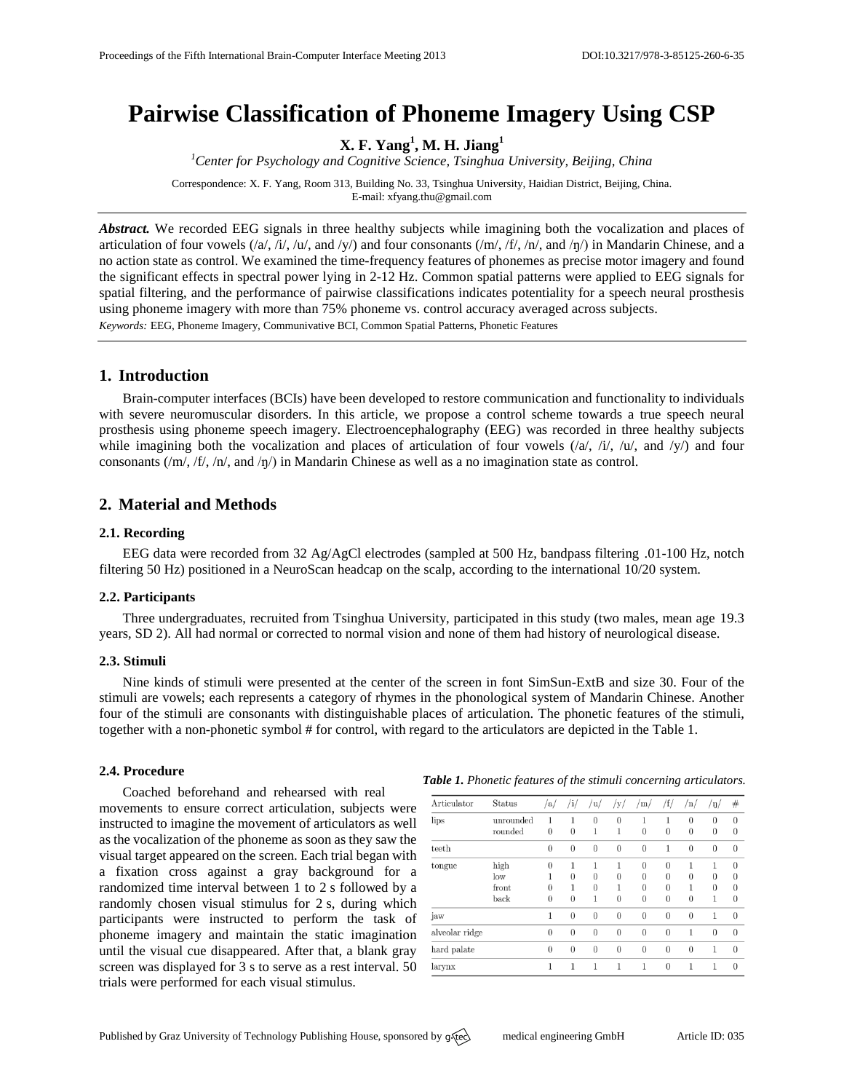# **Pairwise Classification of Phoneme Imagery Using CSP**

**X. F. Yang<sup>1</sup> , M. H. Jiang<sup>1</sup>**

*<sup>1</sup>Center for Psychology and Cognitive Science, Tsinghua University, Beijing, China* Correspondence: X. F. Yang, Room 313, Building No. 33, Tsinghua University, Haidian District, Beijing, China.

E-mail: [xfyang.thu@gmail.com](mailto:xfyang.thu@gmail.com)

*Abstract.* We recorded EEG signals in three healthy subjects while imagining both the vocalization and places of articulation of four vowels  $(\frac{a}{\lambda}, \frac{h}{\lambda}, \frac{h}{\lambda})$  and  $\frac{h}{\lambda}$  and four consonants  $(\frac{m}{\lambda}, \frac{h}{\lambda}, \frac{h}{\lambda})$  and  $\frac{h}{\lambda}$  and  $\frac{h}{\lambda}$  and  $\frac{h}{\lambda}$ no action state as control. We examined the time-frequency features of phonemes as precise motor imagery and found the significant effects in spectral power lying in 2-12 Hz. Common spatial patterns were applied to EEG signals for spatial filtering, and the performance of pairwise classifications indicates potentiality for a speech neural prosthesis using phoneme imagery with more than 75% phoneme vs. control accuracy averaged across subjects. *Keywords:* EEG, Phoneme Imagery, Communivative BCI, Common Spatial Patterns, Phonetic Features

## **1. Introduction**

Brain-computer interfaces (BCIs) have been developed to restore communication and functionality to individuals with severe neuromuscular disorders. In this article, we propose a control scheme towards a true speech neural prosthesis using phoneme speech imagery. Electroencephalography (EEG) was recorded in three healthy subjects while imagining both the vocalization and places of articulation of four vowels  $(\alpha/$ ,  $\dot{\mu}$ ,  $/\mu$ , and  $/\nu$ ) and four consonants (/m/, /f/, /n/, and /ŋ/) in Mandarin Chinese as well as a no imagination state as control.

# **2. Material and Methods**

## **2.1. Recording**

EEG data were recorded from 32 Ag/AgCl electrodes (sampled at 500 Hz, bandpass filtering .01-100 Hz, notch filtering 50 Hz) positioned in a NeuroScan headcap on the scalp, according to the international 10/20 system.

## **2.2. Participants**

Three undergraduates, recruited from Tsinghua University, participated in this study (two males, mean age 19.3 years, SD 2). All had normal or corrected to normal vision and none of them had history of neurological disease.

#### **2.3. Stimuli**

Nine kinds of stimuli were presented at the center of the screen in font SimSun-ExtB and size 30. Four of the stimuli are vowels; each represents a category of rhymes in the phonological system of Mandarin Chinese. Another four of the stimuli are consonants with distinguishable places of articulation. The phonetic features of the stimuli, together with a non-phonetic symbol # for control, with regard to the articulators are depicted in the Table 1.

## **2.4. Procedure**

Coached beforehand and rehearsed with real movements to ensure correct articulation, subjects were instructed to imagine the movement of articulators as well as the vocalization of the phoneme as soon as they saw the visual target appeared on the screen. Each trial began with a fixation cross against a gray background for a randomized time interval between 1 to 2 s followed by a randomly chosen visual stimulus for 2 s, during which participants were instructed to perform the task of phoneme imagery and maintain the static imagination until the visual cue disappeared. After that, a blank gray screen was displayed for 3 s to serve as a rest interval. 50 trials were performed for each visual stimulus.

#### *Table 1. Phonetic features of the stimuli concerning articulators.*

| Articulator    | <b>Status</b>        | /a/                  | /i/           | /u/            | /y/           | /m/                  | /f/                  | /n/                  | $/\eta/$             | $_{\#}$                    |
|----------------|----------------------|----------------------|---------------|----------------|---------------|----------------------|----------------------|----------------------|----------------------|----------------------------|
| lips           | unrounded<br>rounded | 1<br>$\overline{0}$  | 1<br>$\theta$ | $\theta$<br>1  | $\theta$<br>1 | 1<br>$\theta$        | 1<br>$\overline{0}$  | $\theta$<br>$\theta$ | $\theta$<br>$\theta$ | $\theta$<br>$\theta$       |
| teeth          |                      | $\theta$             | $\theta$      | $\overline{0}$ | $\theta$      | $\theta$             | 1                    | $\theta$             | $\theta$             | $\theta$                   |
| tongue         | high<br>low          | $\theta$<br>1        | 1<br>$\theta$ | 1<br>$\Omega$  | 1<br>$\theta$ | $\theta$<br>$\theta$ | $\theta$<br>$\theta$ | 1<br>0               | 1<br>$\theta$        | $\theta$<br>$\theta$       |
|                | front<br>back        | $\theta$<br>$\theta$ | $\theta$      | $\theta$<br>1  | 1<br>$\theta$ | $\theta$<br>$\theta$ | $\theta$<br>$\theta$ | 1<br>$\theta$        | $\theta$<br>1        | $\overline{0}$<br>$\theta$ |
| jaw            |                      | 1                    | $\theta$      | $\overline{0}$ | $\theta$      | $\theta$             | $\theta$             | $\theta$             | 1                    | $\theta$                   |
| alveolar ridge |                      | $\theta$             | $\theta$      | $\theta$       | $\theta$      | $\theta$             | $\theta$             | 1                    | $\theta$             | $\theta$                   |
| hard palate    |                      | $\theta$             | $\theta$      | $\overline{0}$ | $\theta$      | $\theta$             | $\theta$             | $\theta$             | 1                    | $\theta$                   |
| larynx         |                      | 1                    |               | 1              |               | 1                    | $\overline{0}$       | 1                    | 1                    | $\theta$                   |